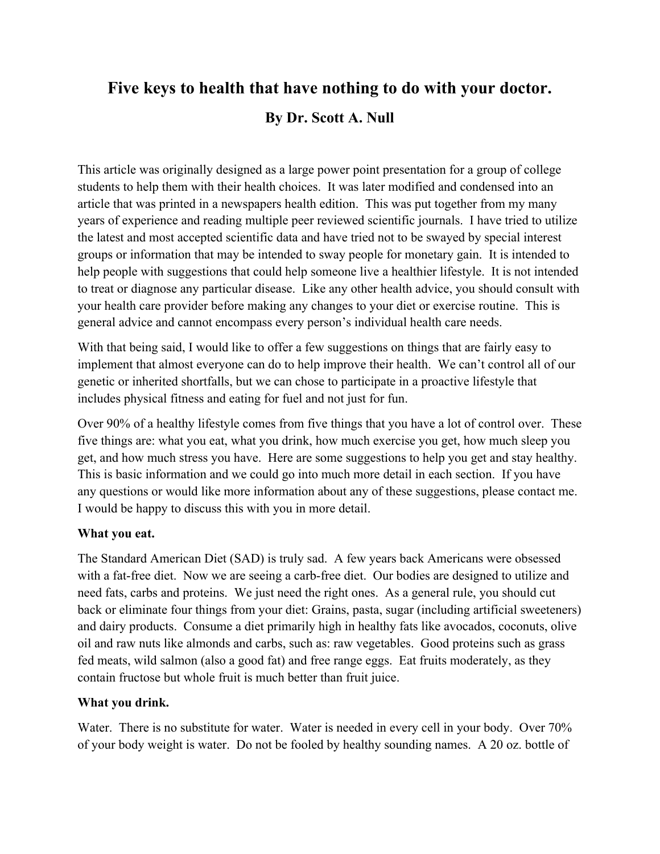# **Five keys to health that have nothing to do with your doctor. By Dr. Scott A. Null**

This article was originally designed as a large power point presentation for a group of college students to help them with their health choices. It was later modified and condensed into an article that was printed in a newspapers health edition. This was put together from my many years of experience and reading multiple peer reviewed scientific journals. I have tried to utilize the latest and most accepted scientific data and have tried not to be swayed by special interest groups or information that may be intended to sway people for monetary gain. It is intended to help people with suggestions that could help someone live a healthier lifestyle. It is not intended to treat or diagnose any particular disease. Like any other health advice, you should consult with your health care provider before making any changes to your diet or exercise routine. This is general advice and cannot encompass every person's individual health care needs.

With that being said, I would like to offer a few suggestions on things that are fairly easy to implement that almost everyone can do to help improve their health. We can't control all of our genetic or inherited shortfalls, but we can chose to participate in a proactive lifestyle that includes physical fitness and eating for fuel and not just for fun.

Over 90% of a healthy lifestyle comes from five things that you have a lot of control over. These five things are: what you eat, what you drink, how much exercise you get, how much sleep you get, and how much stress you have. Here are some suggestions to help you get and stay healthy. This is basic information and we could go into much more detail in each section. If you have any questions or would like more information about any of these suggestions, please contact me. I would be happy to discuss this with you in more detail.

## **What you eat.**

The Standard American Diet (SAD) is truly sad. A few years back Americans were obsessed with a fat-free diet. Now we are seeing a carb-free diet. Our bodies are designed to utilize and need fats, carbs and proteins. We just need the right ones. As a general rule, you should cut back or eliminate four things from your diet: Grains, pasta, sugar (including artificial sweeteners) and dairy products. Consume a diet primarily high in healthy fats like avocados, coconuts, olive oil and raw nuts like almonds and carbs, such as: raw vegetables. Good proteins such as grass fed meats, wild salmon (also a good fat) and free range eggs. Eat fruits moderately, as they contain fructose but whole fruit is much better than fruit juice.

#### **What you drink.**

Water. There is no substitute for water. Water is needed in every cell in your body. Over 70% of your body weight is water. Do not be fooled by healthy sounding names. A 20 oz. bottle of